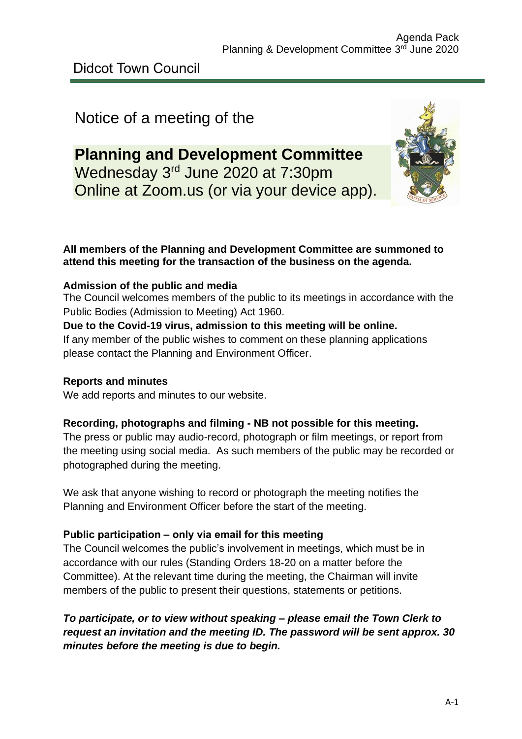# Notice of a meeting of the

# **Planning and Development Committee** Wednesday 3<sup>rd</sup> June 2020 at 7:30pm Online at Zoom.us (or via your device app).



### **All members of the Planning and Development Committee are summoned to attend this meeting for the transaction of the business on the agenda.**

### **Admission of the public and media**

The Council welcomes members of the public to its meetings in accordance with the Public Bodies (Admission to Meeting) Act 1960.

#### **Due to the Covid-19 virus, admission to this meeting will be online.**

If any member of the public wishes to comment on these planning applications please contact the Planning and Environment Officer.

### **Reports and minutes**

We add reports and minutes to our website.

### **Recording, photographs and filming - NB not possible for this meeting.**

The press or public may audio-record, photograph or film meetings, or report from the meeting using social media. As such members of the public may be recorded or photographed during the meeting.

We ask that anyone wishing to record or photograph the meeting notifies the Planning and Environment Officer before the start of the meeting.

#### **Public participation – only via email for this meeting**

The Council welcomes the public's involvement in meetings, which must be in accordance with our rules (Standing Orders 18-20 on a matter before the Committee). At the relevant time during the meeting, the Chairman will invite members of the public to present their questions, statements or petitions.

*To participate, or to view without speaking – please email the Town Clerk to request an invitation and the meeting ID. The password will be sent approx. 30 minutes before the meeting is due to begin.*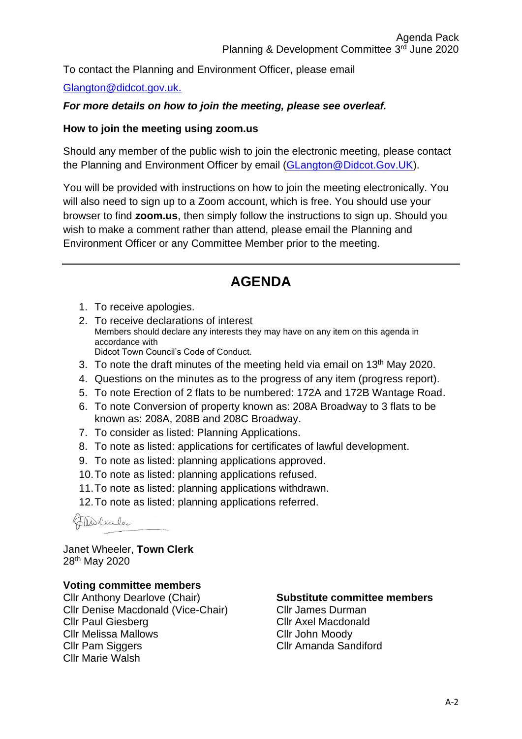To contact the Planning and Environment Officer, please email

### [Glangton@didcot.gov.uk.](mailto:Glangton@didcot.gov.uk)

### *For more details on how to join the meeting, please see overleaf.*

#### **How to join the meeting using zoom.us**

Should any member of the public wish to join the electronic meeting, please contact the Planning and Environment Officer by email [\(GLangton@Didcot.Gov.UK\)](mailto:GLangton@Didcot.Gov.UK).

You will be provided with instructions on how to join the meeting electronically. You will also need to sign up to a Zoom account, which is free. You should use your browser to find **zoom.us**, then simply follow the instructions to sign up. Should you wish to make a comment rather than attend, please email the Planning and Environment Officer or any Committee Member prior to the meeting.

# **AGENDA**

- 1. To receive apologies.
- 2. To receive declarations of interest Members should declare any interests they may have on any item on this agenda in accordance with Didcot Town Council's Code of Conduct.
- 3. To note the draft minutes of the meeting held via email on 13<sup>th</sup> May 2020.
- 4. Questions on the minutes as to the progress of any item (progress report).
- 5. To note Erection of 2 flats to be numbered: 172A and 172B Wantage Road.
- 6. To note Conversion of property known as: 208A Broadway to 3 flats to be known as: 208A, 208B and 208C Broadway.
- 7. To consider as listed: Planning Applications.
- 8. To note as listed: applications for certificates of lawful development.
- 9. To note as listed: planning applications approved.
- 10.To note as listed: planning applications refused.
- 11.To note as listed: planning applications withdrawn.
- 12.To note as listed: planning applications referred.

Theolence

Janet Wheeler, **Town Clerk** 28th May 2020

#### **Voting committee members**

Cllr Anthony Dearlove (Chair) Cllr Denise Macdonald (Vice-Chair) Cllr Paul Giesberg Cllr Melissa Mallows Cllr Pam Siggers Cllr Marie Walsh

### **Substitute committee members**

Cllr James Durman Cllr Axel Macdonald Cllr John Moody Cllr Amanda Sandiford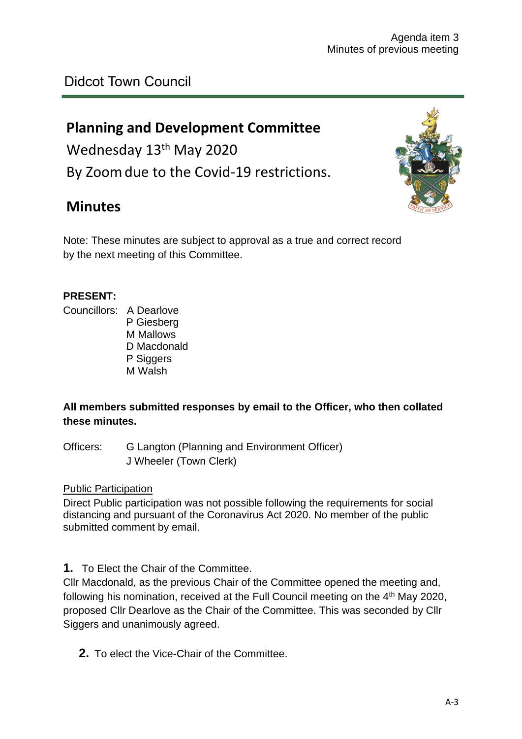## Didcot Town Council

## **Planning and Development Committee**

Wednesday 13<sup>th</sup> May 2020 By Zoomdue to the Covid-19 restrictions.

## **Minutes**



Note: These minutes are subject to approval as a true and correct record by the next meeting of this Committee.

#### **PRESENT:**

Councillors: A Dearlove

P Giesberg M Mallows D Macdonald P Siggers M Walsh

### **All members submitted responses by email to the Officer, who then collated these minutes.**

Officers: G Langton (Planning and Environment Officer) J Wheeler (Town Clerk)

#### Public Participation

Direct Public participation was not possible following the requirements for social distancing and pursuant of the Coronavirus Act 2020. No member of the public submitted comment by email.

**1.** To Elect the Chair of the Committee.

Cllr Macdonald, as the previous Chair of the Committee opened the meeting and, following his nomination, received at the Full Council meeting on the 4<sup>th</sup> May 2020, proposed Cllr Dearlove as the Chair of the Committee. This was seconded by Cllr Siggers and unanimously agreed.

**2.** To elect the Vice-Chair of the Committee.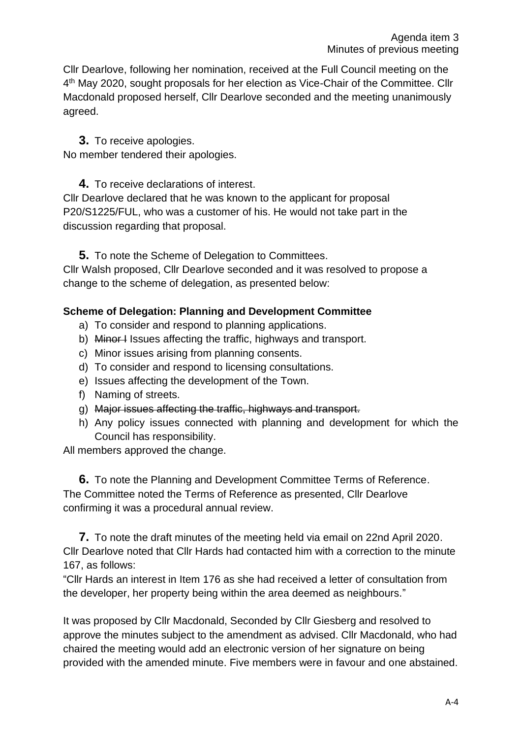Cllr Dearlove, following her nomination, received at the Full Council meeting on the 4<sup>th</sup> May 2020, sought proposals for her election as Vice-Chair of the Committee. Cllr Macdonald proposed herself, Cllr Dearlove seconded and the meeting unanimously agreed.

### **3.** To receive apologies.

No member tendered their apologies.

**4.** To receive declarations of interest.

Cllr Dearlove declared that he was known to the applicant for proposal P20/S1225/FUL, who was a customer of his. He would not take part in the discussion regarding that proposal.

**5.** To note the Scheme of Delegation to Committees.

Cllr Walsh proposed, Cllr Dearlove seconded and it was resolved to propose a change to the scheme of delegation, as presented below:

### **Scheme of Delegation: Planning and Development Committee**

- a) To consider and respond to planning applications.
- b) Minor I Issues affecting the traffic, highways and transport.
- c) Minor issues arising from planning consents.
- d) To consider and respond to licensing consultations.
- e) Issues affecting the development of the Town.
- f) Naming of streets.
- g) Major issues affecting the traffic, highways and transport.
- h) Any policy issues connected with planning and development for which the Council has responsibility.

All members approved the change.

**6.** To note the Planning and Development Committee Terms of Reference. The Committee noted the Terms of Reference as presented, Cllr Dearlove confirming it was a procedural annual review.

**7.** To note the draft minutes of the meeting held via email on 22nd April 2020. Cllr Dearlove noted that Cllr Hards had contacted him with a correction to the minute 167, as follows:

"Cllr Hards an interest in Item 176 as she had received a letter of consultation from the developer, her property being within the area deemed as neighbours."

It was proposed by Cllr Macdonald, Seconded by Cllr Giesberg and resolved to approve the minutes subject to the amendment as advised. Cllr Macdonald, who had chaired the meeting would add an electronic version of her signature on being provided with the amended minute. Five members were in favour and one abstained.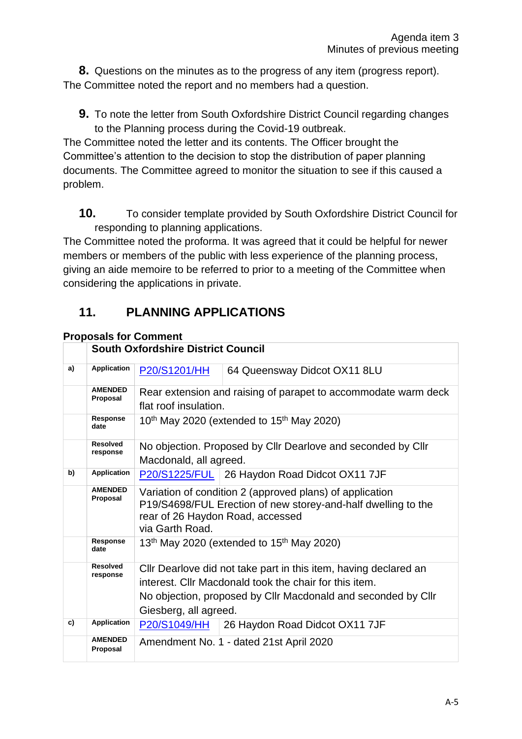**8.** Questions on the minutes as to the progress of any item (progress report). The Committee noted the report and no members had a question.

**9.** To note the letter from South Oxfordshire District Council regarding changes to the Planning process during the Covid-19 outbreak.

The Committee noted the letter and its contents. The Officer brought the Committee's attention to the decision to stop the distribution of paper planning documents. The Committee agreed to monitor the situation to see if this caused a problem.

**10.** To consider template provided by South Oxfordshire District Council for responding to planning applications.

The Committee noted the proforma. It was agreed that it could be helpful for newer members or members of the public with less experience of the planning process, giving an aide memoire to be referred to prior to a meeting of the Committee when considering the applications in private.

## **11. PLANNING APPLICATIONS**

### **Proposals for Comment**

|    |                             | <b>South Oxfordshire District Council</b>                                                                                                                                                                            |  |  |  |
|----|-----------------------------|----------------------------------------------------------------------------------------------------------------------------------------------------------------------------------------------------------------------|--|--|--|
| a) | <b>Application</b>          | P20/S1201/HH<br>64 Queensway Didcot OX11 8LU                                                                                                                                                                         |  |  |  |
|    | <b>AMENDED</b><br>Proposal  | Rear extension and raising of parapet to accommodate warm deck<br>flat roof insulation.                                                                                                                              |  |  |  |
|    | Response<br>date            | $10th$ May 2020 (extended to $15th$ May 2020)                                                                                                                                                                        |  |  |  |
|    | <b>Resolved</b><br>response | No objection. Proposed by Cllr Dearlove and seconded by Cllr<br>Macdonald, all agreed.                                                                                                                               |  |  |  |
| b) | <b>Application</b>          | P20/S1225/FUL 26 Haydon Road Didcot OX11 7JF                                                                                                                                                                         |  |  |  |
|    | <b>AMENDED</b><br>Proposal  | Variation of condition 2 (approved plans) of application<br>P19/S4698/FUL Erection of new storey-and-half dwelling to the<br>rear of 26 Haydon Road, accessed<br>via Garth Road.                                     |  |  |  |
|    | Response<br>date            | 13 <sup>th</sup> May 2020 (extended to $15th$ May 2020)                                                                                                                                                              |  |  |  |
|    | <b>Resolved</b><br>response | Cllr Dearlove did not take part in this item, having declared an<br>interest. Cllr Macdonald took the chair for this item.<br>No objection, proposed by Cllr Macdonald and seconded by Cllr<br>Giesberg, all agreed. |  |  |  |
| c) | <b>Application</b>          | P20/S1049/HH<br>26 Haydon Road Didcot OX11 7JF                                                                                                                                                                       |  |  |  |
|    | <b>AMENDED</b><br>Proposal  | Amendment No. 1 - dated 21st April 2020                                                                                                                                                                              |  |  |  |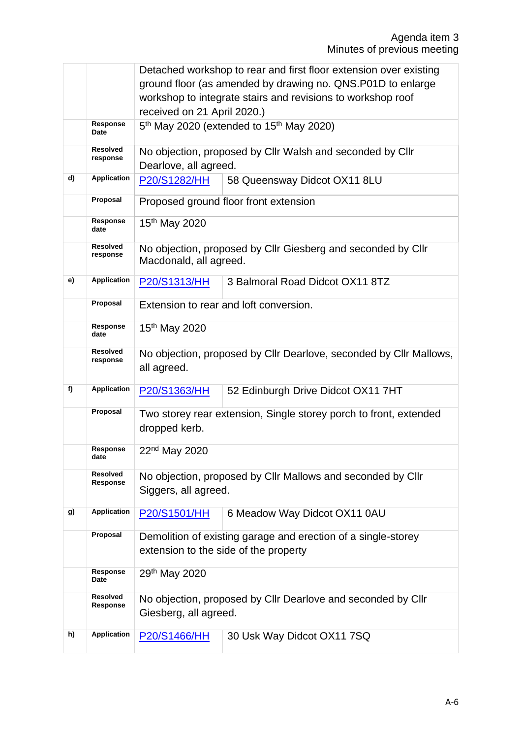|    |                             | Detached workshop to rear and first floor extension over existing                      |  |  |  |
|----|-----------------------------|----------------------------------------------------------------------------------------|--|--|--|
|    |                             | ground floor (as amended by drawing no. QNS.P01D to enlarge                            |  |  |  |
|    |                             | workshop to integrate stairs and revisions to workshop roof                            |  |  |  |
|    |                             | received on 21 April 2020.)                                                            |  |  |  |
|    | Response<br>Date            | 5 <sup>th</sup> May 2020 (extended to 15 <sup>th</sup> May 2020)                       |  |  |  |
|    | <b>Resolved</b>             | No objection, proposed by Cllr Walsh and seconded by Cllr                              |  |  |  |
|    | response                    | Dearlove, all agreed.                                                                  |  |  |  |
| d) | <b>Application</b>          | P20/S1282/HH<br>58 Queensway Didcot OX11 8LU                                           |  |  |  |
|    |                             |                                                                                        |  |  |  |
|    | Proposal                    | Proposed ground floor front extension                                                  |  |  |  |
|    | Response<br>date            | 15 <sup>th</sup> May 2020                                                              |  |  |  |
|    | <b>Resolved</b><br>response | No objection, proposed by Cllr Giesberg and seconded by Cllr<br>Macdonald, all agreed. |  |  |  |
| e) | <b>Application</b>          | <b>P20/S1313/HH</b><br>3 Balmoral Road Didcot OX11 8TZ                                 |  |  |  |
|    | Proposal                    | Extension to rear and loft conversion.                                                 |  |  |  |
|    | Response                    | 15 <sup>th</sup> May 2020                                                              |  |  |  |
|    | date                        |                                                                                        |  |  |  |
|    | <b>Resolved</b><br>response | No objection, proposed by Cllr Dearlove, seconded by Cllr Mallows,                     |  |  |  |
|    |                             | all agreed.                                                                            |  |  |  |
| f) | <b>Application</b>          |                                                                                        |  |  |  |
|    |                             | 52 Edinburgh Drive Didcot OX11 7HT<br>P20/S1363/HH                                     |  |  |  |
|    | Proposal                    | Two storey rear extension, Single storey porch to front, extended                      |  |  |  |
|    |                             | dropped kerb.                                                                          |  |  |  |
|    | Response                    | 22 <sup>nd</sup> May 2020                                                              |  |  |  |
|    | date                        |                                                                                        |  |  |  |
|    | <b>Resolved</b>             | No objection, proposed by Cllr Mallows and seconded by Cllr                            |  |  |  |
|    | Response                    | Siggers, all agreed.                                                                   |  |  |  |
|    |                             |                                                                                        |  |  |  |
| g) | <b>Application</b>          | P20/S1501/HH<br>6 Meadow Way Didcot OX11 0AU                                           |  |  |  |
|    | Proposal                    | Demolition of existing garage and erection of a single-storey                          |  |  |  |
|    |                             | extension to the side of the property                                                  |  |  |  |
|    | <b>Response</b><br>Date     | 29th May 2020                                                                          |  |  |  |
|    | <b>Resolved</b>             | No objection, proposed by Cllr Dearlove and seconded by Cllr                           |  |  |  |
|    | Response                    | Giesberg, all agreed.                                                                  |  |  |  |
|    |                             |                                                                                        |  |  |  |
| h) | <b>Application</b>          | 30 Usk Way Didcot OX11 7SQ<br>P20/S1466/HH                                             |  |  |  |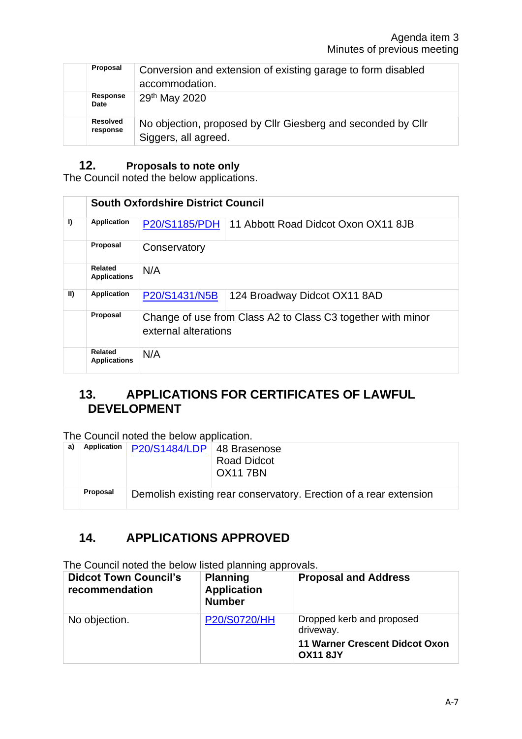| Proposal                    | Conversion and extension of existing garage to form disabled<br>accommodation.       |
|-----------------------------|--------------------------------------------------------------------------------------|
| Response<br>Date            | 29 <sup>th</sup> May 2020                                                            |
| <b>Resolved</b><br>response | No objection, proposed by Cllr Giesberg and seconded by Cllr<br>Siggers, all agreed. |

### **12. Proposals to note only**

The Council noted the below applications.

|             | <b>South Oxfordshire District Council</b> |                                                                                     |  |  |
|-------------|-------------------------------------------|-------------------------------------------------------------------------------------|--|--|
| I)          | <b>Application</b>                        | <b>P20/S1185/PDH</b><br>11 Abbott Road Didcot Oxon OX11 8JB                         |  |  |
|             | Proposal                                  | Conservatory                                                                        |  |  |
|             | Related<br><b>Applications</b>            | N/A                                                                                 |  |  |
| $\parallel$ | <b>Application</b>                        | P20/S1431/N5B<br>124 Broadway Didcot OX11 8AD                                       |  |  |
|             | Proposal                                  | Change of use from Class A2 to Class C3 together with minor<br>external alterations |  |  |
|             | Related<br><b>Applications</b>            | N/A                                                                                 |  |  |

## **13. APPLICATIONS FOR CERTIFICATES OF LAWFUL DEVELOPMENT**

The Council noted the below application.

| a) | Application | P20/S1484/LDP   48 Brasenose | <b>Road Didcot</b><br><b>OX117BN</b>                              |
|----|-------------|------------------------------|-------------------------------------------------------------------|
|    | Proposal    |                              | Demolish existing rear conservatory. Erection of a rear extension |

## **14. APPLICATIONS APPROVED**

The Council noted the below listed planning approvals.

| <b>Didcot Town Council's</b><br>recommendation | <b>Planning</b><br><b>Application</b><br><b>Number</b> | <b>Proposal and Address</b>                                                     |  |
|------------------------------------------------|--------------------------------------------------------|---------------------------------------------------------------------------------|--|
| No objection.                                  | <b>P20/S0720/HH</b>                                    | Dropped kerb and proposed<br>driveway.<br><b>11 Warner Crescent Didcot Oxon</b> |  |
|                                                |                                                        | <b>OX11 8JY</b>                                                                 |  |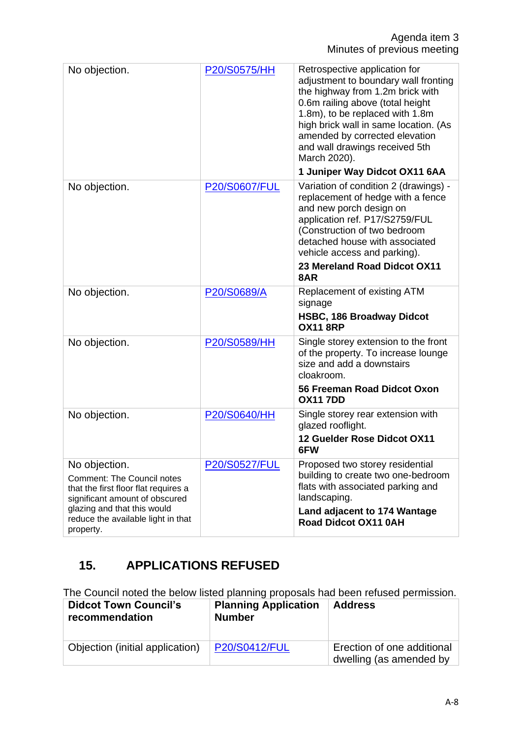| No objection.                                                                                                                                                                                                  | P20/S0575/HH         | Retrospective application for<br>adjustment to boundary wall fronting<br>the highway from 1.2m brick with<br>0.6m railing above (total height<br>1.8m), to be replaced with 1.8m<br>high brick wall in same location. (As<br>amended by corrected elevation<br>and wall drawings received 5th<br>March 2020).<br>1 Juniper Way Didcot OX11 6AA |
|----------------------------------------------------------------------------------------------------------------------------------------------------------------------------------------------------------------|----------------------|------------------------------------------------------------------------------------------------------------------------------------------------------------------------------------------------------------------------------------------------------------------------------------------------------------------------------------------------|
| No objection.                                                                                                                                                                                                  | <b>P20/S0607/FUL</b> | Variation of condition 2 (drawings) -<br>replacement of hedge with a fence<br>and new porch design on<br>application ref. P17/S2759/FUL<br>(Construction of two bedroom<br>detached house with associated<br>vehicle access and parking).<br>23 Mereland Road Didcot OX11<br>8AR                                                               |
| No objection.                                                                                                                                                                                                  | P20/S0689/A          | Replacement of existing ATM<br>signage<br><b>HSBC, 186 Broadway Didcot</b><br><b>OX11 8RP</b>                                                                                                                                                                                                                                                  |
| No objection.                                                                                                                                                                                                  | P20/S0589/HH         | Single storey extension to the front<br>of the property. To increase lounge<br>size and add a downstairs<br>cloakroom.<br>56 Freeman Road Didcot Oxon<br><b>OX117DD</b>                                                                                                                                                                        |
| No objection.                                                                                                                                                                                                  | P20/S0640/HH         | Single storey rear extension with<br>glazed rooflight.<br>12 Guelder Rose Didcot OX11<br>6FW                                                                                                                                                                                                                                                   |
| No objection.<br><b>Comment: The Council notes</b><br>that the first floor flat requires a<br>significant amount of obscured<br>glazing and that this would<br>reduce the available light in that<br>property. | <b>P20/S0527/FUL</b> | Proposed two storey residential<br>building to create two one-bedroom<br>flats with associated parking and<br>landscaping.<br>Land adjacent to 174 Wantage<br><b>Road Didcot OX11 0AH</b>                                                                                                                                                      |

# **15. APPLICATIONS REFUSED**

The Council noted the below listed planning proposals had been refused permission.

| <b>Didcot Town Council's</b><br>recommendation | <b>Planning Application</b><br><b>Number</b> | <b>Address</b>                                        |
|------------------------------------------------|----------------------------------------------|-------------------------------------------------------|
| Objection (initial application)                | <b>P20/S0412/FUL</b>                         | Erection of one additional<br>dwelling (as amended by |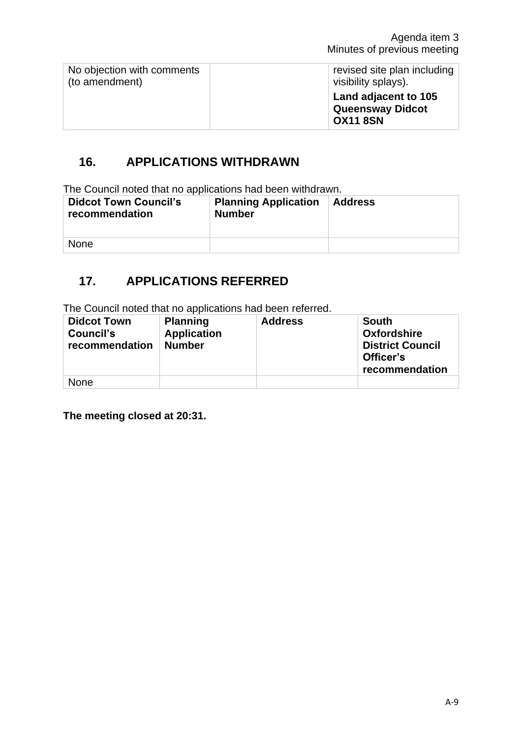| No objection with comments | revised site plan including                                        |
|----------------------------|--------------------------------------------------------------------|
| (to amendment)             | visibility splays).                                                |
|                            | Land adjacent to 105<br><b>Queensway Didcot</b><br><b>OX11 8SN</b> |

## **16. APPLICATIONS WITHDRAWN**

The Council noted that no applications had been withdrawn.

| <b>Didcot Town Council's</b><br>recommendation | <b>Planning Application</b><br><b>Number</b> | <b>Address</b> |
|------------------------------------------------|----------------------------------------------|----------------|
| <b>None</b>                                    |                                              |                |

## **17. APPLICATIONS REFERRED**

The Council noted that no applications had been referred.

| <b>Didcot Town</b><br>Council's<br>recommendation | <b>Planning</b><br><b>Application</b><br><b>Number</b> | <b>Address</b> | <b>South</b><br><b>Oxfordshire</b><br><b>District Council</b><br>Officer's<br>recommendation |
|---------------------------------------------------|--------------------------------------------------------|----------------|----------------------------------------------------------------------------------------------|
| <b>None</b>                                       |                                                        |                |                                                                                              |

**The meeting closed at 20:31.**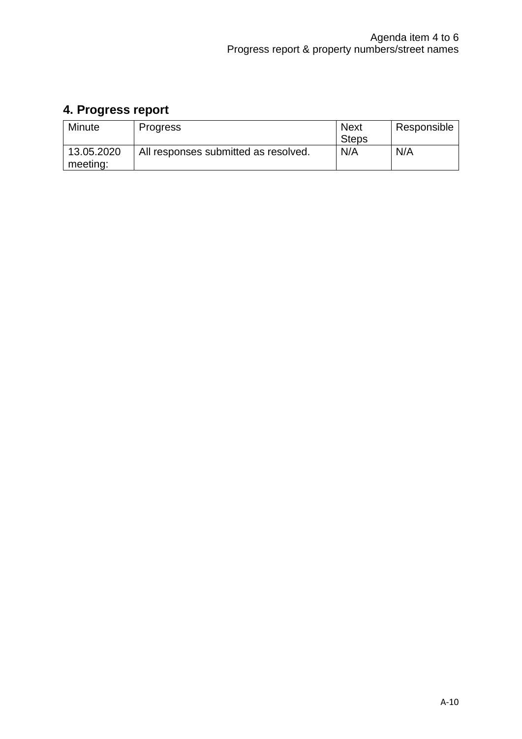# **4. Progress report**

| <b>Minute</b>          | <b>Progress</b>                      | <b>Next</b><br><b>Steps</b> | Responsible |
|------------------------|--------------------------------------|-----------------------------|-------------|
| 13.05.2020<br>meeting: | All responses submitted as resolved. | N/A                         | N/A         |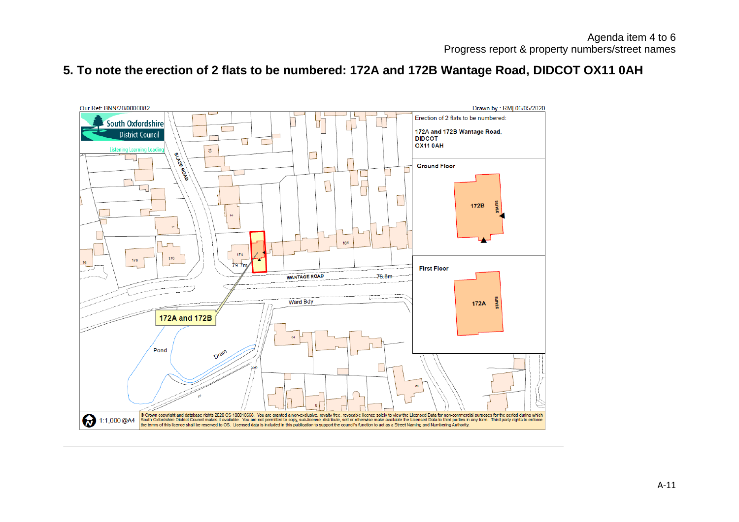## **5. To note the erection of 2 flats to be numbered: 172A and 172B Wantage Road, DIDCOT OX11 0AH**

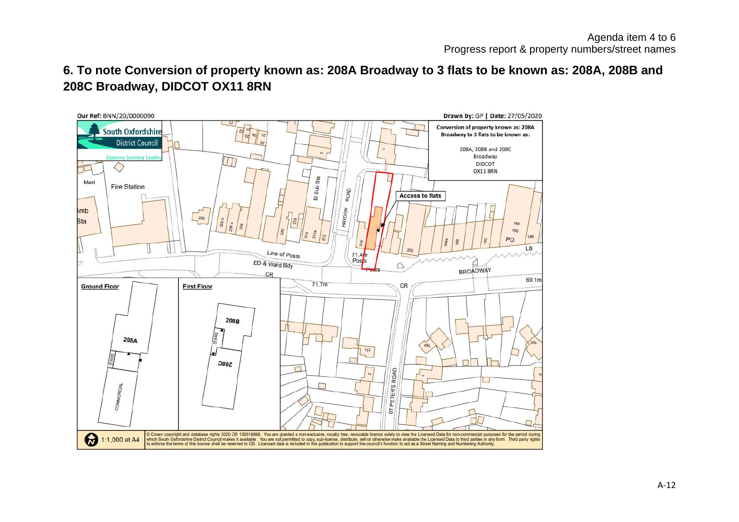## **6. To note Conversion of property known as: 208A Broadway to 3 flats to be known as: 208A, 208B and 208C Broadway, DIDCOT OX11 8RN**

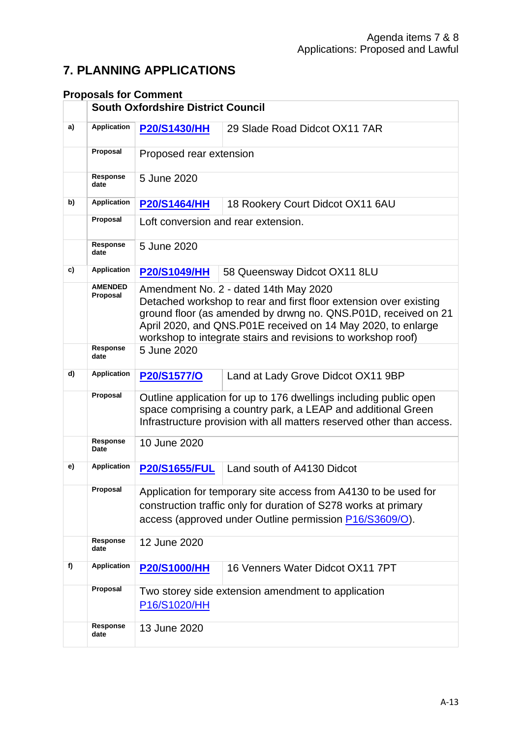## **7. PLANNING APPLICATIONS**

### **Proposals for Comment**

|    |                            | <b>South Oxfordshire District Council</b>                                                                                                                                                                                                                                                                    |                                                    |  |  |
|----|----------------------------|--------------------------------------------------------------------------------------------------------------------------------------------------------------------------------------------------------------------------------------------------------------------------------------------------------------|----------------------------------------------------|--|--|
| a) | <b>Application</b>         | <b>P20/S1430/HH</b>                                                                                                                                                                                                                                                                                          | 29 Slade Road Didcot OX11 7AR                      |  |  |
|    | Proposal                   | Proposed rear extension                                                                                                                                                                                                                                                                                      |                                                    |  |  |
|    | Response<br>date           | 5 June 2020                                                                                                                                                                                                                                                                                                  |                                                    |  |  |
| b) | <b>Application</b>         | <b>P20/S1464/HH</b>                                                                                                                                                                                                                                                                                          | 18 Rookery Court Didcot OX11 6AU                   |  |  |
|    | Proposal                   | Loft conversion and rear extension.                                                                                                                                                                                                                                                                          |                                                    |  |  |
|    | Response<br>date           | 5 June 2020                                                                                                                                                                                                                                                                                                  |                                                    |  |  |
| c) | <b>Application</b>         | <b>P20/S1049/HH</b>                                                                                                                                                                                                                                                                                          | 58 Queensway Didcot OX11 8LU                       |  |  |
|    | <b>AMENDED</b><br>Proposal | Amendment No. 2 - dated 14th May 2020<br>Detached workshop to rear and first floor extension over existing<br>ground floor (as amended by drwng no. QNS.P01D, received on 21<br>April 2020, and QNS.P01E received on 14 May 2020, to enlarge<br>workshop to integrate stairs and revisions to workshop roof) |                                                    |  |  |
|    | Response<br>date           | 5 June 2020                                                                                                                                                                                                                                                                                                  |                                                    |  |  |
| d) | <b>Application</b>         | P20/S1577/O<br>Land at Lady Grove Didcot OX11 9BP                                                                                                                                                                                                                                                            |                                                    |  |  |
|    | Proposal                   | Outline application for up to 176 dwellings including public open<br>space comprising a country park, a LEAP and additional Green<br>Infrastructure provision with all matters reserved other than access.                                                                                                   |                                                    |  |  |
|    | Response<br>Date           | 10 June 2020                                                                                                                                                                                                                                                                                                 |                                                    |  |  |
| e) | <b>Application</b>         | <b>P20/S1655/FUL</b>                                                                                                                                                                                                                                                                                         | Land south of A4130 Didcot                         |  |  |
|    | Proposal                   | Application for temporary site access from A4130 to be used for<br>construction traffic only for duration of S278 works at primary<br>access (approved under Outline permission P16/S3609/O).                                                                                                                |                                                    |  |  |
|    | Response<br>date           | 12 June 2020                                                                                                                                                                                                                                                                                                 |                                                    |  |  |
| f) | <b>Application</b>         | <b>P20/S1000/HH</b>                                                                                                                                                                                                                                                                                          | 16 Venners Water Didcot OX11 7PT                   |  |  |
|    | Proposal                   | P16/S1020/HH                                                                                                                                                                                                                                                                                                 | Two storey side extension amendment to application |  |  |
|    | Response<br>date           | 13 June 2020                                                                                                                                                                                                                                                                                                 |                                                    |  |  |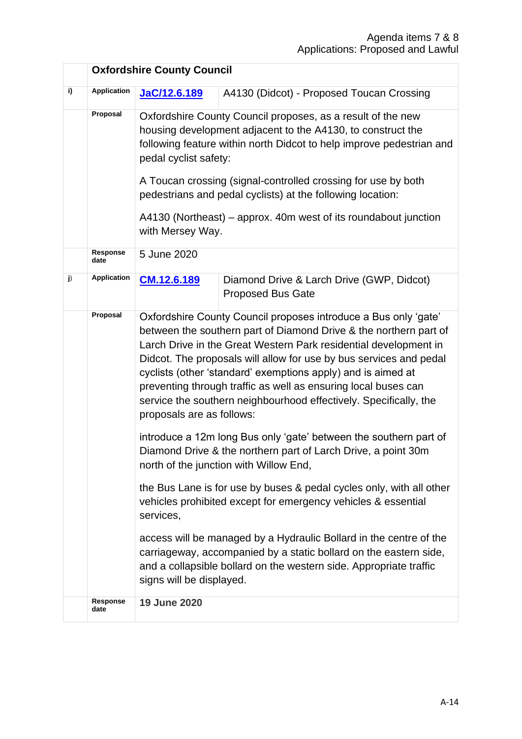|    |                    | <b>Oxfordshire County Council</b>                                                                                                                                                                                                                                                                                                                                                                                                                                                                                  |                                                                       |  |  |
|----|--------------------|--------------------------------------------------------------------------------------------------------------------------------------------------------------------------------------------------------------------------------------------------------------------------------------------------------------------------------------------------------------------------------------------------------------------------------------------------------------------------------------------------------------------|-----------------------------------------------------------------------|--|--|
| i) | <b>Application</b> | JaC/12.6.189                                                                                                                                                                                                                                                                                                                                                                                                                                                                                                       | A4130 (Didcot) - Proposed Toucan Crossing                             |  |  |
|    | Proposal           | Oxfordshire County Council proposes, as a result of the new<br>housing development adjacent to the A4130, to construct the<br>following feature within north Didcot to help improve pedestrian and<br>pedal cyclist safety:<br>A Toucan crossing (signal-controlled crossing for use by both<br>pedestrians and pedal cyclists) at the following location:<br>A4130 (Northeast) – approx. 40m west of its roundabout junction<br>with Mersey Way.                                                                  |                                                                       |  |  |
|    | Response<br>date   | 5 June 2020                                                                                                                                                                                                                                                                                                                                                                                                                                                                                                        |                                                                       |  |  |
| j) | <b>Application</b> | CM.12.6.189                                                                                                                                                                                                                                                                                                                                                                                                                                                                                                        | Diamond Drive & Larch Drive (GWP, Didcot)<br><b>Proposed Bus Gate</b> |  |  |
|    | Proposal           | Oxfordshire County Council proposes introduce a Bus only 'gate'<br>between the southern part of Diamond Drive & the northern part of<br>Larch Drive in the Great Western Park residential development in<br>Didcot. The proposals will allow for use by bus services and pedal<br>cyclists (other 'standard' exemptions apply) and is aimed at<br>preventing through traffic as well as ensuring local buses can<br>service the southern neighbourhood effectively. Specifically, the<br>proposals are as follows: |                                                                       |  |  |
|    |                    | introduce a 12m long Bus only 'gate' between the southern part of<br>Diamond Drive & the northern part of Larch Drive, a point 30m<br>north of the junction with Willow End,                                                                                                                                                                                                                                                                                                                                       |                                                                       |  |  |
|    |                    | the Bus Lane is for use by buses & pedal cycles only, with all other<br>vehicles prohibited except for emergency vehicles & essential<br>services,                                                                                                                                                                                                                                                                                                                                                                 |                                                                       |  |  |
|    |                    | access will be managed by a Hydraulic Bollard in the centre of the<br>carriageway, accompanied by a static bollard on the eastern side,<br>and a collapsible bollard on the western side. Appropriate traffic<br>signs will be displayed.                                                                                                                                                                                                                                                                          |                                                                       |  |  |
|    | Response<br>date   | 19 June 2020                                                                                                                                                                                                                                                                                                                                                                                                                                                                                                       |                                                                       |  |  |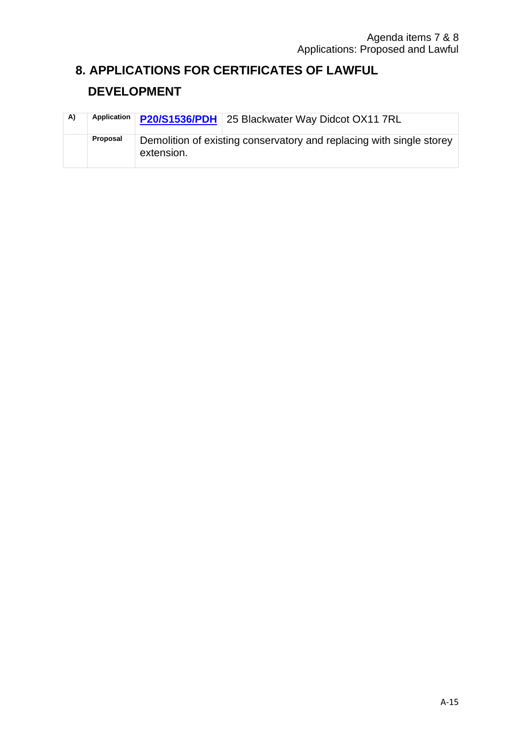## **8. APPLICATIONS FOR CERTIFICATES OF LAWFUL**

## **DEVELOPMENT**

| A) | Application | P20/S1536/PDH 25 Blackwater Way Didcot OX11 7RL                                    |
|----|-------------|------------------------------------------------------------------------------------|
|    | Proposal    | Demolition of existing conservatory and replacing with single storey<br>extension. |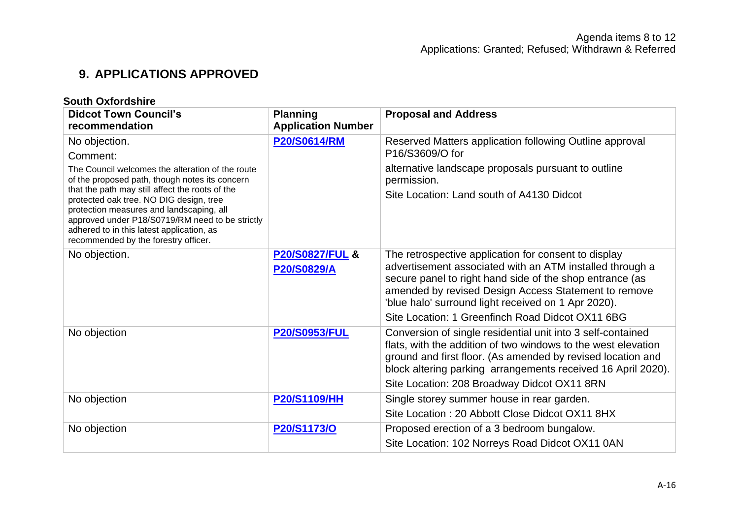## **9. APPLICATIONS APPROVED**

| <b>South Oxfordshire</b>                                                                                                                                                                                                                                                       |                                           |                                                                                                                                                                                                                                                                                                                                                 |  |
|--------------------------------------------------------------------------------------------------------------------------------------------------------------------------------------------------------------------------------------------------------------------------------|-------------------------------------------|-------------------------------------------------------------------------------------------------------------------------------------------------------------------------------------------------------------------------------------------------------------------------------------------------------------------------------------------------|--|
| <b>Didcot Town Council's</b>                                                                                                                                                                                                                                                   | <b>Planning</b>                           | <b>Proposal and Address</b>                                                                                                                                                                                                                                                                                                                     |  |
| recommendation                                                                                                                                                                                                                                                                 | <b>Application Number</b>                 |                                                                                                                                                                                                                                                                                                                                                 |  |
| No objection.                                                                                                                                                                                                                                                                  | <b>P20/S0614/RM</b>                       | Reserved Matters application following Outline approval<br>P16/S3609/O for                                                                                                                                                                                                                                                                      |  |
| Comment:                                                                                                                                                                                                                                                                       |                                           |                                                                                                                                                                                                                                                                                                                                                 |  |
| The Council welcomes the alteration of the route<br>of the proposed path, though notes its concern                                                                                                                                                                             |                                           | alternative landscape proposals pursuant to outline<br>permission.                                                                                                                                                                                                                                                                              |  |
| that the path may still affect the roots of the<br>protected oak tree. NO DIG design, tree<br>protection measures and landscaping, all<br>approved under P18/S0719/RM need to be strictly<br>adhered to in this latest application, as<br>recommended by the forestry officer. |                                           | Site Location: Land south of A4130 Didcot                                                                                                                                                                                                                                                                                                       |  |
| No objection.                                                                                                                                                                                                                                                                  | <b>P20/S0827/FUL &amp;</b><br>P20/S0829/A | The retrospective application for consent to display<br>advertisement associated with an ATM installed through a<br>secure panel to right hand side of the shop entrance (as<br>amended by revised Design Access Statement to remove<br>'blue halo' surround light received on 1 Apr 2020).<br>Site Location: 1 Greenfinch Road Didcot OX11 6BG |  |
| No objection                                                                                                                                                                                                                                                                   | <b>P20/S0953/FUL</b>                      | Conversion of single residential unit into 3 self-contained<br>flats, with the addition of two windows to the west elevation<br>ground and first floor. (As amended by revised location and<br>block altering parking arrangements received 16 April 2020).<br>Site Location: 208 Broadway Didcot OX11 8RN                                      |  |
| No objection                                                                                                                                                                                                                                                                   | <b>P20/S1109/HH</b>                       | Single storey summer house in rear garden.                                                                                                                                                                                                                                                                                                      |  |
|                                                                                                                                                                                                                                                                                |                                           | Site Location: 20 Abbott Close Didcot OX11 8HX                                                                                                                                                                                                                                                                                                  |  |
| No objection                                                                                                                                                                                                                                                                   | P20/S1173/O                               | Proposed erection of a 3 bedroom bungalow.                                                                                                                                                                                                                                                                                                      |  |
|                                                                                                                                                                                                                                                                                |                                           | Site Location: 102 Norreys Road Didcot OX11 0AN                                                                                                                                                                                                                                                                                                 |  |